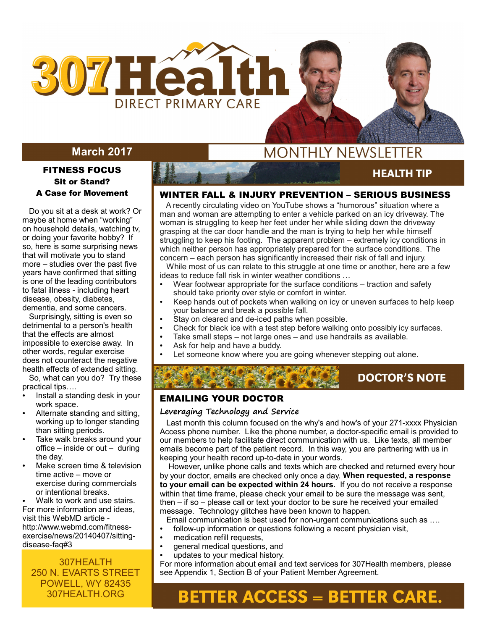

# **March 2017**

#### FITNESS FOCUS Sit or Stand? A Case for Movement

 Do you sit at a desk at work? Or maybe at home when "working" on household details, watching tv, or doing your favorite hobby? If so, here is some surprising news that will motivate you to stand more – studies over the past five years have confirmed that sitting is one of the leading contributors to fatal illness - including heart disease, obesity, diabetes, dementia, and some cancers.

 Surprisingly, sitting is even so detrimental to a person's health that the effects are almost impossible to exercise away. In other words, regular exercise does not counteract the negative health effects of extended sitting.

 So, what can you do? Try these practical tips….

- Install a standing desk in your work space.
- Alternate standing and sitting, working up to longer standing than sitting periods.
- Take walk breaks around your office – inside or out – during the day.
- Make screen time & television time active – move or exercise during commercials or intentional breaks.

Walk to work and use stairs. For more information and ideas, visit this WebMD article http://www.webmd.com/fitnessexercise/news/20140407/sittingdisease-faq#3

## 307HEALTH 250 N. EVARTS STREET POWELL, WY 82435 307HEALTH.ORG

# **MONTHLY NEWSLETTER**

**HEALTH TIP** 

**DOCTOR'S NOTE** 

**AUGUST 2015** 

#### WINTER FALL & INJURY PREVENTION – SERIOUS BUSINESS

 A recently circulating video on YouTube shows a "humorous" situation where a man and woman are attempting to enter a vehicle parked on an icy driveway. The woman is struggling to keep her feet under her while sliding down the driveway grasping at the car door handle and the man is trying to help her while himself struggling to keep his footing. The apparent problem – extremely icy conditions in which neither person has appropriately prepared for the surface conditions. The concern – each person has significantly increased their risk of fall and injury. While most of us can relate to this struggle at one time or another, here are a few ideas to reduce fall risk in winter weather conditions …

- Wear footwear appropriate for the surface conditions traction and safety should take priority over style or comfort in winter.
- Keep hands out of pockets when walking on icy or uneven surfaces to help keep your balance and break a possible fall.
- Stay on cleared and de-iced paths when possible.
- Check for black ice with a test step before walking onto possibly icy surfaces.
- Take small steps not large ones and use handrails as available.
- Ask for help and have a buddy.
- Let someone know where you are going whenever stepping out alone.

## EMAILING YOUR DOCTOR

#### **Leveraging Technology and Service**

 Last month this column focused on the why's and how's of your 271-xxxx Physician Access phone number. Like the phone number, a doctor-specific email is provided to our members to help facilitate direct communication with us. Like texts, all member emails become part of the patient record. In this way, you are partnering with us in keeping your health record up-to-date in your words.

 However, unlike phone calls and texts which are checked and returned every hour by your doctor, emails are checked only once a day. **When requested, a response to your email can be expected within 24 hours.** If you do not receive a response within that time frame, please check your email to be sure the message was sent, then – if so – please call or text your doctor to be sure he received your emailed message. Technology glitches have been known to happen.

Email communication is best used for non-urgent communications such as ….

- follow-up information or questions following a recent physician visit,
- medication refill requests,
- general medical questions, and
- updates to your medical history.

For more information about email and text services for 307Health members, please see Appendix 1, Section B of your Patient Member Agreement.

# **BETTER ACCESS = BETTER CARE.**